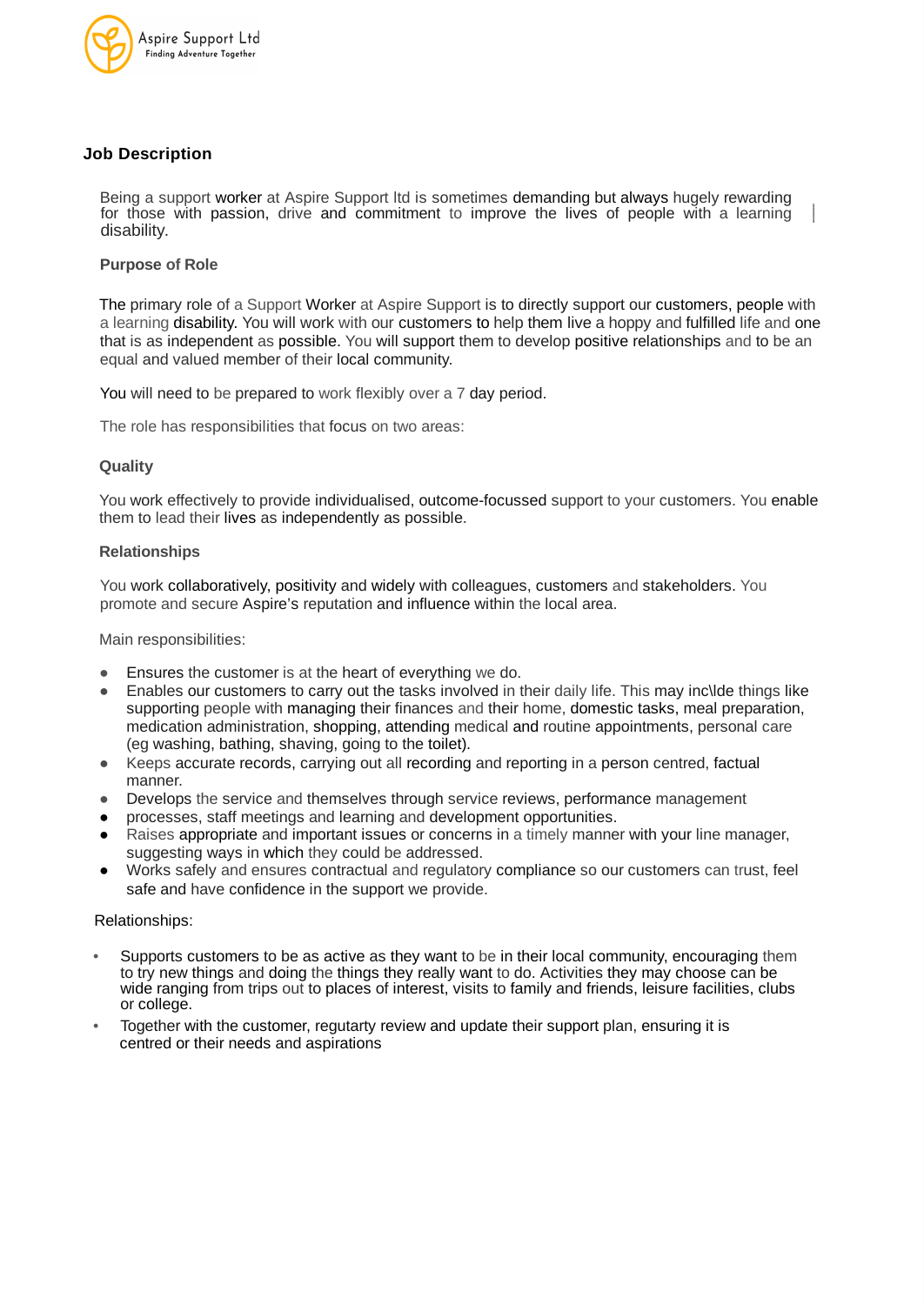

## **Job Description**

Being a support worker at Aspire Support ltd is sometimes demanding but always hugely rewarding for those with passion, drive and commitment to improve the lives of people with a learning disability.

### **Purpose of Role**

The primary role of a Support Worker at Aspire Support is to directly support our customers, people with a learning disability. You will work with our customers to help them live a hoppy and fulfilled life and one that is as independent as possible. You will support them to develop positive relationships and to be an equal and valued member of their local community.

You will need to be prepared to work flexibly over a 7 day period.

The role has responsibilities that focus on two areas:

## **Quality**

You work effectively to provide individualised, outcome-focussed support to your customers. You enable them to lead their lives as independently as possible.

#### **Relationships**

You work collaboratively, positivity and widely with colleagues, customers and stakeholders. You promote and secure Aspire's reputation and influence within the local area.

- Ensures the customer is at the heart of everything we do.
- Enables our customers to carry out the tasks involved in their daily life. This may inc\lde things like supporting people with managing their finances and their home, domestic tasks, meal preparation, medication administration, shopping, attending medical and routine appointments, personal care (eg washing, bathing, shaving, going to the toilet).
- Keeps accurate records, carrying out all recording and reporting in a person centred, factual manner.
- Develops the service and themselves through service reviews, performance management
- processes, staff meetings and learning and development opportunities.
- Raises appropriate and important issues or concerns in a timely manner with your line manager, suggesting ways in which they could be addressed.
- Works safely and ensures contractual and regulatory compliance so our customers can trust, feel safe and have confidence in the support we provide.

Main responsibilities:

Relationships:

- Supports customers to be as active as they want to be in their local community, encouraging them to try new things and doing the things they really want to do. Activities they may choose can be wide ranging from trips out to places of interest, visits to family and friends, leisure facilities, clubs or college.
- Together with the customer, regutarty review and update their support plan, ensuring it is centred or their needs and aspirations